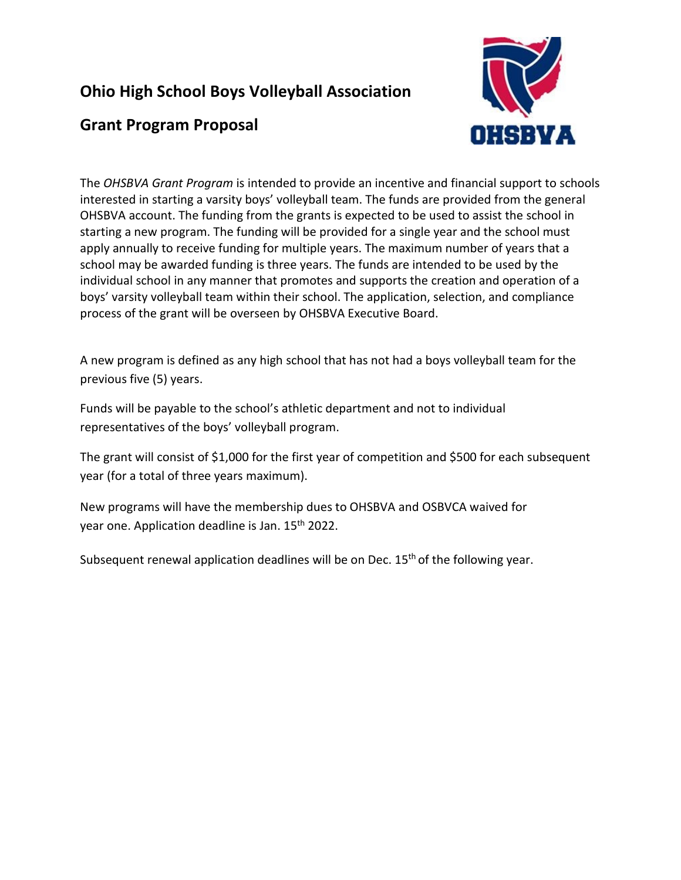## **Ohio High School Boys Volleyball Association**

## **Grant Program Proposal**



The *OHSBVA Grant Program* is intended to provide an incentive and financial support to schools interested in starting a varsity boys' volleyball team. The funds are provided from the general OHSBVA account. The funding from the grants is expected to be used to assist the school in starting a new program. The funding will be provided for a single year and the school must apply annually to receive funding for multiple years. The maximum number of years that a school may be awarded funding is three years. The funds are intended to be used by the individual school in any manner that promotes and supports the creation and operation of a boys' varsity volleyball team within their school. The application, selection, and compliance process of the grant will be overseen by OHSBVA Executive Board.

A new program is defined as any high school that has not had a boys volleyball team for the previous five (5) years.

Funds will be payable to the school's athletic department and not to individual representatives of the boys' volleyball program.

The grant will consist of \$1,000 for the first year of competition and \$500 for each subsequent year (for a total of three years maximum).

New programs will have the membership dues to OHSBVA and OSBVCA waived for year one. Application deadline is Jan. 15<sup>th</sup> 2022.

Subsequent renewal application deadlines will be on Dec. 15<sup>th</sup> of the following year.